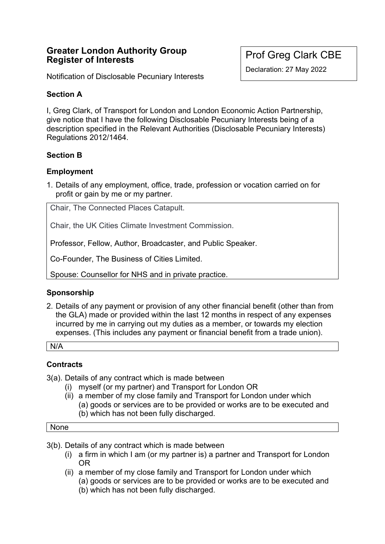# **Greater London Authority Group Register of Interests**

Notification of Disclosable Pecuniary Interests

# Prof Greg Clark CBE

Declaration: 27 May 2022

# **Section A**

I, Greg Clark, of Transport for London and London Economic Action Partnership, give notice that I have the following Disclosable Pecuniary Interests being of a description specified in the Relevant Authorities (Disclosable Pecuniary Interests) Regulations 2012/1464.

# **Section B**

# **Employment**

1. Details of any employment, office, trade, profession or vocation carried on for profit or gain by me or my partner.

Chair, The Connected Places Catapult.

Chair, the UK Cities Climate Investment Commission.

Professor, Fellow, Author, Broadcaster, and Public Speaker.

Co-Founder, The Business of Cities Limited.

Spouse: Counsellor for NHS and in private practice.

# **Sponsorship**

2. Details of any payment or provision of any other financial benefit (other than from the GLA) made or provided within the last 12 months in respect of any expenses incurred by me in carrying out my duties as a member, or towards my election expenses. (This includes any payment or financial benefit from a trade union).

N/A

# **Contracts**

3(a). Details of any contract which is made between

- (i) myself (or my partner) and Transport for London OR
- (ii) a member of my close family and Transport for London under which (a) goods or services are to be provided or works are to be executed and (b) which has not been fully discharged.

#### None

- 3(b). Details of any contract which is made between
	- (i) a firm in which I am (or my partner is) a partner and Transport for London OR
	- (ii) a member of my close family and Transport for London under which (a) goods or services are to be provided or works are to be executed and (b) which has not been fully discharged.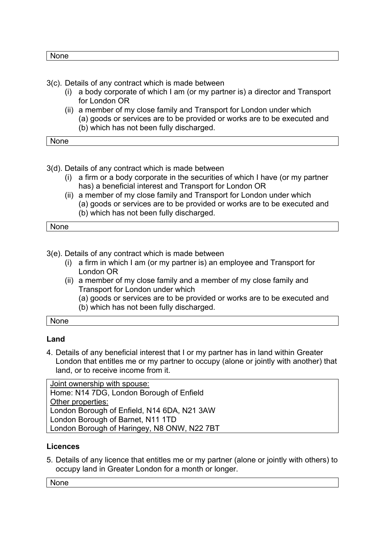None

- 3(c). Details of any contract which is made between
	- (i) a body corporate of which I am (or my partner is) a director and Transport for London OR
	- (ii) a member of my close family and Transport for London under which (a) goods or services are to be provided or works are to be executed and (b) which has not been fully discharged.

None

- 3(d). Details of any contract which is made between
	- (i) a firm or a body corporate in the securities of which I have (or my partner has) a beneficial interest and Transport for London OR
	- (ii) a member of my close family and Transport for London under which (a) goods or services are to be provided or works are to be executed and (b) which has not been fully discharged.

| . .<br>$\sim$ $\sim$ $\sim$ $\sim$ |  |
|------------------------------------|--|

3(e). Details of any contract which is made between

- (i) a firm in which I am (or my partner is) an employee and Transport for London OR
- (ii) a member of my close family and a member of my close family and Transport for London under which
	- (a) goods or services are to be provided or works are to be executed and (b) which has not been fully discharged.

None

### **Land**

4. Details of any beneficial interest that I or my partner has in land within Greater London that entitles me or my partner to occupy (alone or jointly with another) that land, or to receive income from it.

Joint ownership with spouse: Home: N14 7DG, London Borough of Enfield Other properties: London Borough of Enfield, N14 6DA, N21 3AW London Borough of Barnet, N11 1TD London Borough of Haringey, N8 ONW, N22 7BT

### **Licences**

5. Details of any licence that entitles me or my partner (alone or jointly with others) to occupy land in Greater London for a month or longer.

None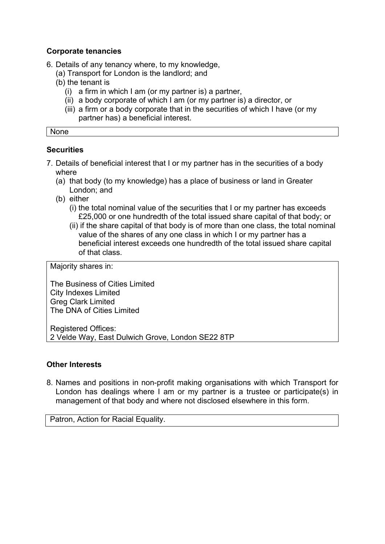### **Corporate tenancies**

6. Details of any tenancy where, to my knowledge,

- (a) Transport for London is the landlord; and
- (b) the tenant is
	- (i) a firm in which I am (or my partner is) a partner,
	- (ii) a body corporate of which I am (or my partner is) a director, or
	- (iii) a firm or a body corporate that in the securities of which I have (or my partner has) a beneficial interest.

None

### **Securities**

- 7. Details of beneficial interest that I or my partner has in the securities of a body where
	- (a) that body (to my knowledge) has a place of business or land in Greater London; and
	- (b) either
		- (i) the total nominal value of the securities that I or my partner has exceeds £25,000 or one hundredth of the total issued share capital of that body; or
		- (ii) if the share capital of that body is of more than one class, the total nominal value of the shares of any one class in which I or my partner has a beneficial interest exceeds one hundredth of the total issued share capital of that class.

Majority shares in:

The Business of Cities Limited City Indexes Limited Greg Clark Limited The DNA of Cities Limited

Registered Offices: 2 Velde Way, East Dulwich Grove, London SE22 8TP

### **Other Interests**

8. Names and positions in non-profit making organisations with which Transport for London has dealings where I am or my partner is a trustee or participate(s) in management of that body and where not disclosed elsewhere in this form.

Patron, Action for Racial Equality.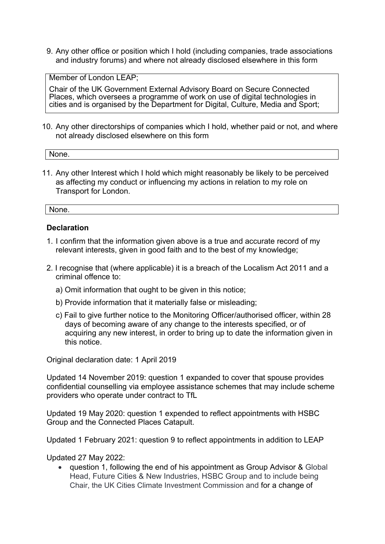9. Any other office or position which I hold (including companies, trade associations and industry forums) and where not already disclosed elsewhere in this form

Member of London LEAP;

Chair of the UK Government External Advisory Board on Secure Connected Places, which oversees a programme of work on use of digital technologies in cities and is organised by the Department for Digital, Culture, Media and Sport;

10. Any other directorships of companies which I hold, whether paid or not, and where not already disclosed elsewhere on this form

|--|

11. Any other Interest which I hold which might reasonably be likely to be perceived as affecting my conduct or influencing my actions in relation to my role on Transport for London.

None.

### **Declaration**

- 1. I confirm that the information given above is a true and accurate record of my relevant interests, given in good faith and to the best of my knowledge;
- 2. I recognise that (where applicable) it is a breach of the Localism Act 2011 and a criminal offence to:
	- a) Omit information that ought to be given in this notice;
	- b) Provide information that it materially false or misleading;
	- c) Fail to give further notice to the Monitoring Officer/authorised officer, within 28 days of becoming aware of any change to the interests specified, or of acquiring any new interest, in order to bring up to date the information given in this notice.

Original declaration date: 1 April 2019

Updated 14 November 2019: question 1 expanded to cover that spouse provides confidential counselling via employee assistance schemes that may include scheme providers who operate under contract to TfL

Updated 19 May 2020: question 1 expended to reflect appointments with HSBC Group and the Connected Places Catapult.

Updated 1 February 2021: question 9 to reflect appointments in addition to LEAP

Updated 27 May 2022:

• question 1, following the end of his appointment as Group Advisor & Global Head, Future Cities & New Industries, HSBC Group and to include being Chair, the UK Cities Climate Investment Commission and for a change of